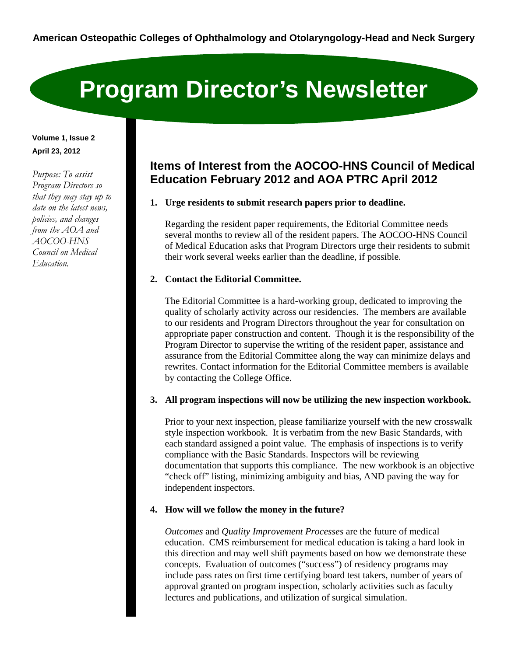# **Program Director's Newsletter**

# **Volume 1, Issue 2 April 23, 2012**

*Purpose: To assist Program Directors so that they may stay up to date on the latest news, policies, and changes from the AOA and AOCOO-HNS Council on Medical Education.* 

# **Items of Interest from the AOCOO-HNS Council of Medical Education February 2012 and AOA PTRC April 2012**

**1. Urge residents to submit research papers prior to deadline.**

 Regarding the resident paper requirements, the Editorial Committee needs several months to review all of the resident papers. The AOCOO-HNS Council of Medical Education asks that Program Directors urge their residents to submit their work several weeks earlier than the deadline, if possible.

## **2. Contact the Editorial Committee.**

 The Editorial Committee is a hard-working group, dedicated to improving the quality of scholarly activity across our residencies. The members are available to our residents and Program Directors throughout the year for consultation on appropriate paper construction and content. Though it is the responsibility of the Program Director to supervise the writing of the resident paper, assistance and assurance from the Editorial Committee along the way can minimize delays and rewrites. Contact information for the Editorial Committee members is available by contacting the College Office.

### **3. All program inspections will now be utilizing the new inspection workbook.**

 Prior to your next inspection, please familiarize yourself with the new crosswalk style inspection workbook. It is verbatim from the new Basic Standards, with each standard assigned a point value. The emphasis of inspections is to verify compliance with the Basic Standards. Inspectors will be reviewing documentation that supports this compliance. The new workbook is an objective "check off" listing, minimizing ambiguity and bias, AND paving the way for independent inspectors.

# **4. How will we follow the money in the future?**

 *Outcomes* and *Quality Improvement Processes* are the future of medical education. CMS reimbursement for medical education is taking a hard look in this direction and may well shift payments based on how we demonstrate these concepts. Evaluation of outcomes ("success") of residency programs may include pass rates on first time certifying board test takers, number of years of approval granted on program inspection, scholarly activities such as faculty lectures and publications, and utilization of surgical simulation.